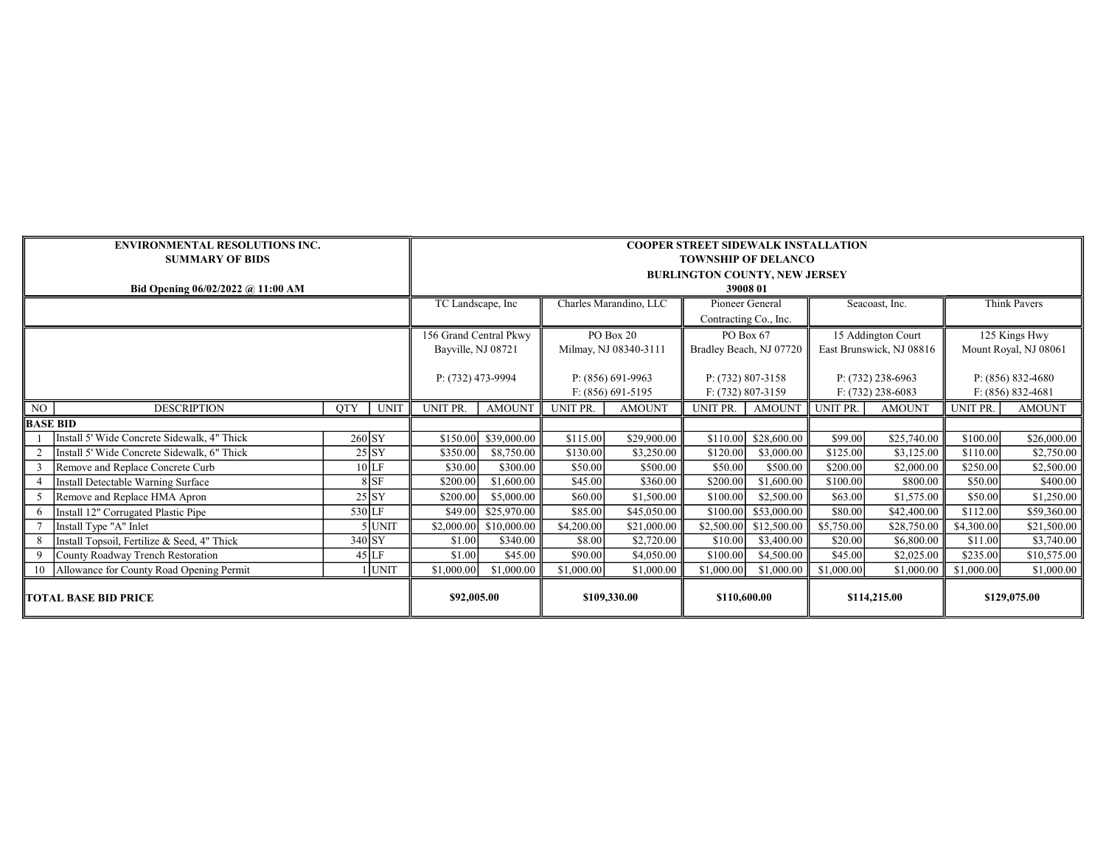|                             | <b>ENVIRONMENTAL RESOLUTIONS INC.</b>       | <b>COOPER STREET SIDEWALK INSTALLATION</b> |                    |                        |                       |                 |                         |                       |                          |                     |                       |               |  |
|-----------------------------|---------------------------------------------|--------------------------------------------|--------------------|------------------------|-----------------------|-----------------|-------------------------|-----------------------|--------------------------|---------------------|-----------------------|---------------|--|
|                             | <b>SUMMARY OF BIDS</b>                      | <b>TOWNSHIP OF DELANCO</b>                 |                    |                        |                       |                 |                         |                       |                          |                     |                       |               |  |
|                             |                                             | <b>BURLINGTON COUNTY, NEW JERSEY</b>       |                    |                        |                       |                 |                         |                       |                          |                     |                       |               |  |
|                             | Bid Opening 06/02/2022 @ 11:00 AM           | 39008 01                                   |                    |                        |                       |                 |                         |                       |                          |                     |                       |               |  |
|                             |                                             | TC Landscape, Inc                          |                    | Charles Marandino, LLC |                       | Pioneer General |                         | Seacoast, Inc.        |                          | <b>Think Pavers</b> |                       |               |  |
|                             |                                             |                                            |                    |                        |                       |                 |                         | Contracting Co., Inc. |                          |                     |                       |               |  |
|                             |                                             |                                            |                    | 156 Grand Central Pkwy |                       | PO Box 20       |                         | PO Box 67             |                          | 15 Addington Court  |                       | 125 Kings Hwy |  |
|                             |                                             |                                            | Bayville, NJ 08721 |                        | Milmay, NJ 08340-3111 |                 | Bradley Beach, NJ 07720 |                       | East Brunswick, NJ 08816 |                     | Mount Royal, NJ 08061 |               |  |
|                             |                                             |                                            |                    |                        |                       |                 |                         |                       |                          |                     |                       |               |  |
|                             |                                             |                                            | P: (732) 473-9994  |                        | $P: (856) 691-9963$   |                 | $P: (732) 807 - 3158$   |                       | $P: (732)$ 238-6963      |                     | $P: (856) 832-4680$   |               |  |
|                             |                                             |                                            |                    |                        | $F: (856) 691 - 5195$ |                 | $F: (732) 807 - 3159$   |                       | $F: (732)$ 238-6083      |                     | $F: (856) 832 - 4681$ |               |  |
| NO                          | <b>DESCRIPTION</b>                          | QTY<br><b>UNIT</b>                         | UNIT PR.           | <b>AMOUNT</b>          | UNIT PR.              | <b>AMOUNT</b>   | UNIT PR.                | <b>AMOUNT</b>         | UNIT PR.                 | <b>AMOUNT</b>       | UNIT PR.              | <b>AMOUNT</b> |  |
| BASE BID                    |                                             |                                            |                    |                        |                       |                 |                         |                       |                          |                     |                       |               |  |
|                             | Install 5' Wide Concrete Sidewalk, 4" Thick | $260$ SY                                   | \$150.00           | \$39,000.00            | \$115.00              | \$29,900.00     | \$110.00                | \$28,600.00           | \$99.00                  | \$25,740.00         | \$100.00              | \$26,000.00   |  |
|                             | Install 5' Wide Concrete Sidewalk, 6" Thick | 25 SY                                      | \$350.00           | \$8,750.00             | \$130.00              | \$3,250.00      | \$120.00                | \$3,000.00            | \$125.00                 | \$3,125.00          | \$110.00              | \$2,750.00    |  |
|                             | Remove and Replace Concrete Curb            | 10 LF                                      | \$30.00            | \$300.00               | \$50.00               | \$500.00        | \$50.00                 | \$500.00              | \$200.00                 | \$2,000.00          | \$250.00              | \$2,500.00    |  |
|                             | Install Detectable Warning Surface          | 8 SF                                       | \$200.00           | \$1,600.00             | \$45.00               | \$360.00        | \$200.00                | \$1,600.00            | \$100.00                 | \$800.00            | \$50.00               | \$400.00      |  |
|                             | Remove and Replace HMA Apron                | 25 SY                                      | \$200.00           | \$5,000.00             | \$60.00               | \$1,500.00      | \$100.00]               | \$2,500.00            | \$63.00                  | \$1,575.00          | \$50.00               | \$1,250.00    |  |
| 6                           | Install 12" Corrugated Plastic Pipe         | $530$ LF                                   | \$49.00            | \$25,970.00            | \$85.00               | \$45,050.00     | \$100.00                | \$53,000.00           | \$80.00                  | \$42,400.00         | \$112.00              | \$59,360.00   |  |
|                             | Install Type "A" Inlet                      | $5$ UNIT                                   | \$2,000.00         | \$10,000.00            | \$4,200.00            | \$21,000.00     | \$2,500.00              | \$12,500.00           | \$5,750.00               | \$28,750.00         | \$4,300.00            | \$21,500.00   |  |
| 8                           | Install Topsoil, Fertilize & Seed, 4" Thick | $340$ SY                                   | \$1.00             | \$340.00               | \$8.00                | \$2,720.00      | \$10.00                 | \$3,400.00            | \$20.00                  | \$6,800.00          | \$11.00               | \$3,740.00    |  |
|                             | County Roadway Trench Restoration           | $45$ LF                                    | \$1.00             | \$45.00                | \$90.00               | \$4,050.00      | \$100.00                | \$4,500.00            | \$45.00                  | \$2,025.00          | \$235.00              | \$10,575.00   |  |
|                             | Allowance for County Road Opening Permit    | $1$ UNIT                                   | \$1,000.00         | \$1,000.00             | \$1,000.00            | \$1,000.00      | \$1,000.00              | \$1,000.00            | \$1,000.00               | \$1,000.00          | \$1,000.00            | \$1,000.00    |  |
| <b>TOTAL BASE BID PRICE</b> |                                             |                                            | \$92,005.00        |                        | \$109,330.00          |                 | \$110,600.00            |                       | \$114,215.00             |                     | \$129,075.00          |               |  |